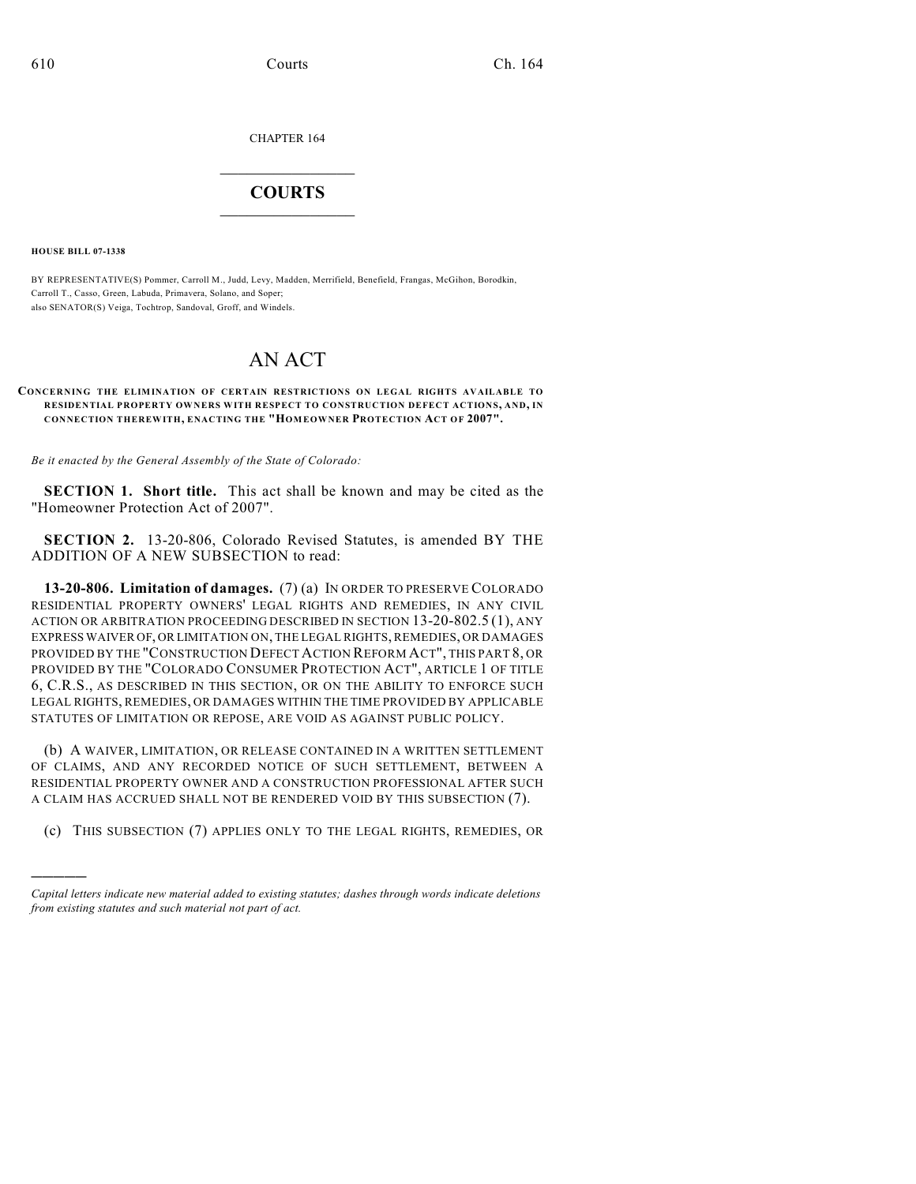CHAPTER 164

## $\overline{\phantom{a}}$  . The set of the set of the set of the set of the set of the set of the set of the set of the set of the set of the set of the set of the set of the set of the set of the set of the set of the set of the set o **COURTS**  $\_$

**HOUSE BILL 07-1338**

)))))

BY REPRESENTATIVE(S) Pommer, Carroll M., Judd, Levy, Madden, Merrifield, Benefield, Frangas, McGihon, Borodkin, Carroll T., Casso, Green, Labuda, Primavera, Solano, and Soper; also SENATOR(S) Veiga, Tochtrop, Sandoval, Groff, and Windels.

## AN ACT

## **CONCERNING THE ELIMINATION OF CERTAIN RESTRICTIONS ON LEGAL RIGHTS AVAILABLE TO RESIDENTIAL PROPERTY OWNERS WITH RESPECT TO CONSTRUCTION DEFECT ACTIONS, AND, IN CONNECTION THEREWITH, ENACTING THE "HOM EOWNER PROTECTION ACT OF 2007".**

*Be it enacted by the General Assembly of the State of Colorado:*

**SECTION 1. Short title.** This act shall be known and may be cited as the "Homeowner Protection Act of 2007".

**SECTION 2.** 13-20-806, Colorado Revised Statutes, is amended BY THE ADDITION OF A NEW SUBSECTION to read:

**13-20-806. Limitation of damages.** (7) (a) IN ORDER TO PRESERVE COLORADO RESIDENTIAL PROPERTY OWNERS' LEGAL RIGHTS AND REMEDIES, IN ANY CIVIL ACTION OR ARBITRATION PROCEEDING DESCRIBED IN SECTION 13-20-802.5 (1), ANY EXPRESS WAIVER OF, OR LIMITATION ON, THE LEGAL RIGHTS, REMEDIES, OR DAMAGES PROVIDED BY THE "CONSTRUCTION DEFECT ACTION REFORM ACT", THIS PART 8, OR PROVIDED BY THE "COLORADO CONSUMER PROTECTION ACT", ARTICLE 1 OF TITLE 6, C.R.S., AS DESCRIBED IN THIS SECTION, OR ON THE ABILITY TO ENFORCE SUCH LEGAL RIGHTS, REMEDIES, OR DAMAGES WITHIN THE TIME PROVIDED BY APPLICABLE STATUTES OF LIMITATION OR REPOSE, ARE VOID AS AGAINST PUBLIC POLICY.

(b) A WAIVER, LIMITATION, OR RELEASE CONTAINED IN A WRITTEN SETTLEMENT OF CLAIMS, AND ANY RECORDED NOTICE OF SUCH SETTLEMENT, BETWEEN A RESIDENTIAL PROPERTY OWNER AND A CONSTRUCTION PROFESSIONAL AFTER SUCH A CLAIM HAS ACCRUED SHALL NOT BE RENDERED VOID BY THIS SUBSECTION (7).

(c) THIS SUBSECTION (7) APPLIES ONLY TO THE LEGAL RIGHTS, REMEDIES, OR

*Capital letters indicate new material added to existing statutes; dashes through words indicate deletions from existing statutes and such material not part of act.*